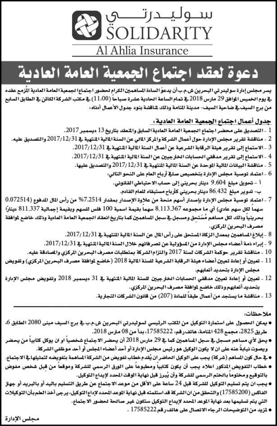

# دعوة لعقد اجتماع الحمعية العامة العادية

يسر مجلس إدارة سوليدر تي البحرين ش.م.ب[ن يدعوُ السادة الساهمين الكرام لحضور اجتماع الجمعية العامة العادية الأزمع عقده ية يوم الخميس الوافق 29 مارس 2018 ية تمام الساعة الحادية عشرة صباحاً (11،00) ية مكتب الشركة الكائن ية الطابق السابع من برج السيف في ضاحية السيف- مدينة المنامة وذلك لمناقشة بنود جدول الأعمال أدناه:

جدول أعمال اجتماع الجمعية العامة العادية.

- 1 التصديق على محضر اجتماع الجمعية العامة العادية السابق والمفقد بتاريخ 13 ديسمبر 2017.
- 2 مناقشة تقرير مجلس الإدارة حول أعمال الشركة والمركز المالي عن السنة المالية المنتهية في 2017/12/31 والتصديق عليه.
	- 3 الاستماع إلى تقرير هيئة الرقابة الشرعية عن أعمال السنة المالية المتهية في 2017/12/31.
	- 4 الاستماع إلى تقرير مدققي الحسابات الخارجيين عن السنة المالية التتهية في 2017/12/31 .
		- 5 مناقشة البيانات المالية الموحدة عن السنة المالية المنتهية في 2017/12/31 والتصديق عليها.
			- 6 اعتماد توصية مجلس الإدارة بتخصيص صلية أرباح العام على النحو التالي:
				- أ تحويل مبلغ 9.604 دينار بحريني إلى حساب الاحتياطي القانوني. ب- تدوير مبلغ 86.432 دينار بحريني كأرباح مستبقاه للعام القادم.
- 7 اعتماد توصية مجلس الإدارة بإصدار أسهم منحة من علاوة الإصدار بمقدار 2514.7% من رأس المال الدفوع (0.072514 سهما لكل سهم عادي) أي ما مجموعه 3,113,367 سهماً بقيمة اسمية 100 فلس للسهم وبقيمة إجمالية 811,337 شينارًا بحرينياً وذلك لكل مساهم مُسَتحق ومسجل في سجل الساهمين كما بتاريخ انعقاد الجمعية العامة العادية وذلك خاضع لموافقة مصرف البحرين المركزي.
	- 8 إبلاغ المساهمين بمعدل الزكاة المستحق على رأس المال عن السنة المالية المنتهية في 2017/12/31.
	- 9 إبراء ذمة أعضاء مجلس الإدارة من المنؤولية عن تصر فاتهم خلال السنة المالية التنهية في 2017/12/31.
	- 10 \_ مناقشة تقرير حوكمة الشركات لسنة 2017 والتزام الشركة بمتطلبات مصرف البحرين الركزي والصادقة عليه.
- 11 تعيين أو إعادة تعيين أعضاء هيئة الرقابة الشرعية للسنة المالية 2018 (خاضع لموافقة مصرف البحرين الركزي) وتفويض مجلس الإدارة بتحديد أتعابهم.
- 12 ـ تعيين أو إعادة تعيين مدققي الحسابات الخارجيين للسنة المالية المتهية في 31 ديسمبر 2018 وتفويض مجلس الإدارة بتحديد أتعابهم وذلك خاضع لموافقة مصرف البحرين المركزي.
	- 13 مناقشة ما يستجد من أعمال طبقاً للمادة (207) من قانون الشركات التجارية.

ملاحظات:

- يمكن الحصول على استمارة التوكيل من المقب الرئيسي لسوليدرتي البحرين ش.م.ب في برج السيف مبنى 2080 الطابق 6، طريق 2825، مجمع 428 المنامة، هاتف رقم، 17585222، بدأ من 08 مارس 2018.
- يحق لأي مساهم مسجل ⊈ سجل الساهمين كما ⊈ 29 مارس 2018 أن يحضر الاجتماع شخصياً او ان يوكل كتابياً من يحضر ويصوت نيابةً عنه على ان لا يكون الوكيل هو رئيس مجلس الإدارة أو أحد أعضاء المجلس أو أحد موظفي الشركة.
- ⊈ حال كون الساهم (شركة) يجب على الوكيل الحاضر ان يُقدم خطاب تفويض من الشركة الساهمة بتفويضه لتمثيلها ⊈ الاجتماع.
- **0 خطاب التفويض المنكور اعلاه يجب أن يكون كتابياً ومطبوعاً على الورق الرسمي للشركة وموقعاً من قبل شخص مفوض** بالتوقيع ومختوما بالختم الرسمي للشركة وأن يُبرز قبل نهاية الوقت المحدد لإيداع التوكيل.
- يجب ان يتم تسليم التوكيل للشركة قبل 24 ساعة على الأقل من موعد الاجتماع عن طريق التسليم باليد أو بالبريد أو جهاز الفاكس (17585200) والتحقق من ان الشركة قد استلمته قبل نهاية الموعد الحدد لإداع التوكيل، يرجى أخد الطم بأن التوكيلات التي يتم تسليمها بعد نهاية الموعد المحدد لإيداع التوكيل ستكون غير صائحة لحضور الاجتماع.
	- نزيد من التوضيحات الرجاء الاتصال على هاتف رقم 17585222 .

مجلس الإدارة